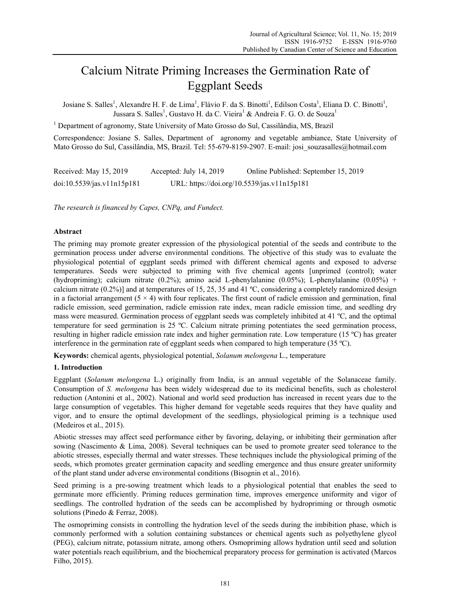# Calcium Nitrate Priming Increases the Germination Rate of Eggplant Seeds

Josiane S. Salles<sup>1</sup>, Alexandre H. F. de Lima<sup>1</sup>, Flávio F. da S. Binotti<sup>1</sup>, Edilson Costa<sup>1</sup>, Eliana D. C. Binotti<sup>1</sup>, Jussara S. Salles<sup>1</sup>, Gustavo H. da C. Vieira<sup>1</sup> & Andreia F. G. O. de Souza<sup>1</sup>

<sup>1</sup> Department of agronomy, State University of Mato Grosso do Sul, Cassilândia, MS, Brazil

Correspondence: Josiane S. Salles, Department of agronomy and vegetable ambiance, State University of Mato Grosso do Sul, Cassilândia, MS, Brazil. Tel: 55-679-8159-2907. E-mail: josi\_souzasalles@hotmail.com

| Received: May 15, 2019     | Accepted: July 14, 2019 | Online Published: September 15, 2019        |
|----------------------------|-------------------------|---------------------------------------------|
| doi:10.5539/jas.v11n15p181 |                         | URL: https://doi.org/10.5539/jas.v11n15p181 |

*The research is financed by Capes, CNPq, and Fundect.*

### **Abstract**

The priming may promote greater expression of the physiological potential of the seeds and contribute to the germination process under adverse environmental conditions. The objective of this study was to evaluate the physiological potential of eggplant seeds primed with different chemical agents and exposed to adverse temperatures. Seeds were subjected to priming with five chemical agents [unprimed (control); water (hydropriming); calcium nitrate (0.2%); amino acid L-phenylalanine (0.05%); L-phenylalanine (0.05%) + calcium nitrate (0.2%)] and at temperatures of 15, 25, 35 and 41 ºC, considering a completely randomized design in a factorial arrangement  $(5 \times 4)$  with four replicates. The first count of radicle emission and germination, final radicle emission, seed germination, radicle emission rate index, mean radicle emission time, and seedling dry mass were measured. Germination process of eggplant seeds was completely inhibited at 41 ºC, and the optimal temperature for seed germination is 25 ºC. Calcium nitrate priming potentiates the seed germination process, resulting in higher radicle emission rate index and higher germination rate. Low temperature (15 ºC) has greater interference in the germination rate of eggplant seeds when compared to high temperature (35 ºC).

**Keywords:** chemical agents, physiological potential, *Solanum melongena* L., temperature

#### **1. Introduction**

Eggplant (*Solanum melongena* L.) originally from India, is an annual vegetable of the Solanaceae family. Consumption of *S. melongena* has been widely widespread due to its medicinal benefits, such as cholesterol reduction (Antonini et al., 2002). National and world seed production has increased in recent years due to the large consumption of vegetables. This higher demand for vegetable seeds requires that they have quality and vigor, and to ensure the optimal development of the seedlings, physiological priming is a technique used (Medeiros et al., 2015).

Abiotic stresses may affect seed performance either by favoring, delaying, or inhibiting their germination after sowing (Nascimento & Lima, 2008). Several techniques can be used to promote greater seed tolerance to the abiotic stresses, especially thermal and water stresses. These techniques include the physiological priming of the seeds, which promotes greater germination capacity and seedling emergence and thus ensure greater uniformity of the plant stand under adverse environmental conditions (Bisognin et al., 2016).

Seed priming is a pre-sowing treatment which leads to a physiological potential that enables the seed to germinate more efficiently. Priming reduces germination time, improves emergence uniformity and vigor of seedlings. The controlled hydration of the seeds can be accomplished by hydropriming or through osmotic solutions (Pinedo & Ferraz, 2008).

The osmopriming consists in controlling the hydration level of the seeds during the imbibition phase, which is commonly performed with a solution containing substances or chemical agents such as polyethylene glycol (PEG), calcium nitrate, potassium nitrate, among others. Osmopriming allows hydration until seed and solution water potentials reach equilibrium, and the biochemical preparatory process for germination is activated (Marcos Filho, 2015).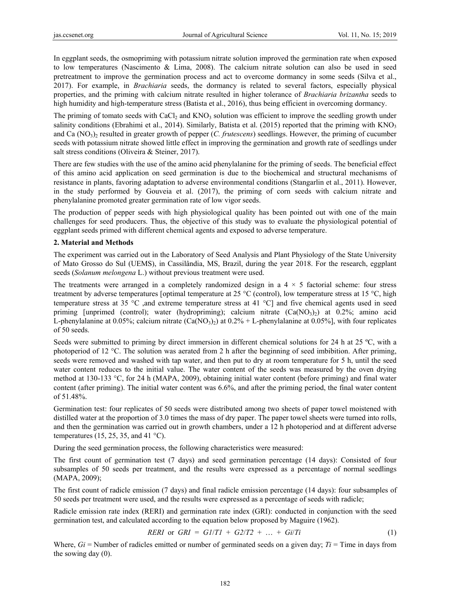In eggplant seeds, the osmopriming with potassium nitrate solution improved the germination rate when exposed to low temperatures (Nascimento & Lima, 2008). The calcium nitrate solution can also be used in seed pretreatment to improve the germination process and act to overcome dormancy in some seeds (Silva et al., 2017). For example, in *Brachiaria* seeds, the dormancy is related to several factors, especially physical properties, and the priming with calcium nitrate resulted in higher tolerance of *Brachiaria brizantha* seeds to high humidity and high-temperature stress (Batista et al., 2016), thus being efficient in overcoming dormancy.

The priming of tomato seeds with  $CaCl<sub>2</sub>$  and  $KNO<sub>3</sub>$  solution was efficient to improve the seedling growth under salinity conditions (Ebrahimi et al., 2014). Similarly, Batista et al. (2015) reported that the priming with  $KNO<sub>3</sub>$ and Ca (NO<sub>3</sub>)<sub>2</sub> resulted in greater growth of pepper (*C. frutescens*) seedlings. However, the priming of cucumber seeds with potassium nitrate showed little effect in improving the germination and growth rate of seedlings under salt stress conditions (Oliveira & Steiner, 2017).

There are few studies with the use of the amino acid phenylalanine for the priming of seeds. The beneficial effect of this amino acid application on seed germination is due to the biochemical and structural mechanisms of resistance in plants, favoring adaptation to adverse environmental conditions (Stangarlin et al., 2011). However, in the study performed by Gouveia et al. (2017), the priming of corn seeds with calcium nitrate and phenylalanine promoted greater germination rate of low vigor seeds.

The production of pepper seeds with high physiological quality has been pointed out with one of the main challenges for seed producers. Thus, the objective of this study was to evaluate the physiological potential of eggplant seeds primed with different chemical agents and exposed to adverse temperature.

### **2. Material and Methods**

The experiment was carried out in the Laboratory of Seed Analysis and Plant Physiology of the State University of Mato Grosso do Sul (UEMS), in Cassilândia, MS, Brazil, during the year 2018. For the research, eggplant seeds (*Solanum melongena* L.) without previous treatment were used.

The treatments were arranged in a completely randomized design in a  $4 \times 5$  factorial scheme: four stress treatment by adverse temperatures [optimal temperature at 25 °C (control), low temperature stress at 15 °C, high temperature stress at 35 °C ,and extreme temperature stress at 41 °C] and five chemical agents used in seed priming [unprimed (control); water (hydropriming); calcium nitrate  $(Ca(NO<sub>3</sub>)<sub>2</sub>)$  at 0.2%; amino acid L-phenylalanine at 0.05%; calcium nitrate  $(Ca(NO<sub>3</sub>)<sub>2</sub>)$  at 0.2% + L-phenylalanine at 0.05%], with four replicates of 50 seeds.

Seeds were submitted to priming by direct immersion in different chemical solutions for 24 h at 25 ºC, with a photoperiod of 12 °C. The solution was aerated from 2 h after the beginning of seed imbibition. After priming, seeds were removed and washed with tap water, and then put to dry at room temperature for 5 h, until the seed water content reduces to the initial value. The water content of the seeds was measured by the oven drying method at 130-133 °C, for 24 h (MAPA, 2009), obtaining initial water content (before priming) and final water content (after priming). The initial water content was 6.6%, and after the priming period, the final water content of 51.48%.

Germination test: four replicates of 50 seeds were distributed among two sheets of paper towel moistened with distilled water at the proportion of 3.0 times the mass of dry paper. The paper towel sheets were turned into rolls, and then the germination was carried out in growth chambers, under a 12 h photoperiod and at different adverse temperatures (15, 25, 35, and 41  $^{\circ}$ C).

During the seed germination process, the following characteristics were measured:

The first count of germination test (7 days) and seed germination percentage (14 days): Consisted of four subsamples of 50 seeds per treatment, and the results were expressed as a percentage of normal seedlings (MAPA, 2009);

The first count of radicle emission (7 days) and final radicle emission percentage (14 days): four subsamples of 50 seeds per treatment were used, and the results were expressed as a percentage of seeds with radicle;

Radicle emission rate index (RERI) and germination rate index (GRI): conducted in conjunction with the seed germination test, and calculated according to the equation below proposed by Maguire (1962).

*RERI* or *GRI* = 
$$
G1/T1 + G2/T2 + ... + Gi/Ti
$$
 (1)

Where,  $Gi =$  Number of radicles emitted or number of germinated seeds on a given day;  $Ti =$  Time in days from the sowing day (0).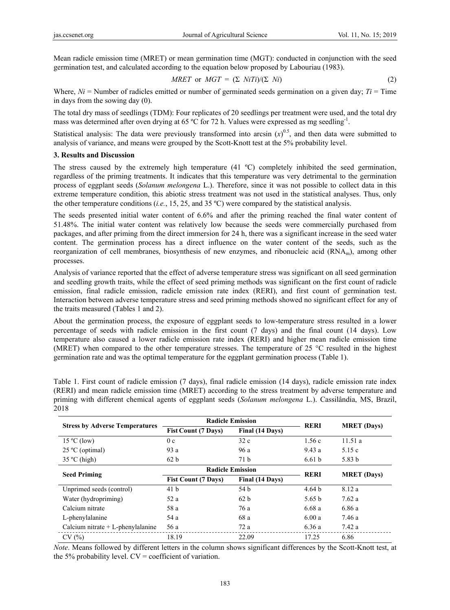Mean radicle emission time (MRET) or mean germination time (MGT): conducted in conjunction with the seed germination test, and calculated according to the equation below proposed by Labouriau (1983).

$$
MRET \text{ or } MGT = (\Sigma NiTi)/(\Sigma Ni) \tag{2}
$$

Where,  $Ni =$  Number of radicles emitted or number of germinated seeds germination on a given day;  $Ti =$  Time in days from the sowing day (0).

The total dry mass of seedlings (TDM): Four replicates of 20 seedlings per treatment were used, and the total dry mass was determined after oven drying at 65 ºC for 72 h. Values were expressed as mg seedling-1.

Statistical analysis: The data were previously transformed into arcsin  $(x)^{0.5}$ , and then data were submitted to analysis of variance, and means were grouped by the Scott-Knott test at the 5% probability level.

### **3. Results and Discussion**

The stress caused by the extremely high temperature (41 ºC) completely inhibited the seed germination, regardless of the priming treatments. It indicates that this temperature was very detrimental to the germination process of eggplant seeds (*Solanum melongena* L.). Therefore, since it was not possible to collect data in this extreme temperature condition, this abiotic stress treatment was not used in the statistical analyses. Thus, only the other temperature conditions (*i.e.*, 15, 25, and 35 ºC) were compared by the statistical analysis.

The seeds presented initial water content of 6.6% and after the priming reached the final water content of 51.48%. The initial water content was relatively low because the seeds were commercially purchased from packages, and after priming from the direct immersion for 24 h, there was a significant increase in the seed water content. The germination process has a direct influence on the water content of the seeds, such as the reorganization of cell membranes, biosynthesis of new enzymes, and ribonucleic acid (RNAm), among other processes.

Analysis of variance reported that the effect of adverse temperature stress was significant on all seed germination and seedling growth traits, while the effect of seed priming methods was significant on the first count of radicle emission, final radicle emission, radicle emission rate index (RERI), and first count of germination test. Interaction between adverse temperature stress and seed priming methods showed no significant effect for any of the traits measured (Tables 1 and 2).

About the germination process, the exposure of eggplant seeds to low-temperature stress resulted in a lower percentage of seeds with radicle emission in the first count (7 days) and the final count (14 days). Low temperature also caused a lower radicle emission rate index (RERI) and higher mean radicle emission time (MRET) when compared to the other temperature stresses. The temperature of 25 °C resulted in the highest germination rate and was the optimal temperature for the eggplant germination process (Table 1).

| <b>Stress by Adverse Temperatures</b> | <b>Radicle Emission</b>    |                 |                   |                    |
|---------------------------------------|----------------------------|-----------------|-------------------|--------------------|
|                                       | <b>Fist Count (7 Days)</b> | Final (14 Days) | <b>RERI</b>       | <b>MRET</b> (Days) |
| $15^{\circ}$ C (low)                  | 0c                         | 32c             | 1.56c             | 11.51a             |
| $25^{\circ}$ C (optimal)              | 93 a                       | 96 a            | 9.43a             | 5.15c              |
| $35^{\circ}$ C (high)                 | 62 b                       | 71 <sub>b</sub> | 6.61 <sub>b</sub> | 5.83 b             |
| <b>Seed Priming</b>                   | <b>Radicle Emission</b>    |                 |                   |                    |
|                                       | <b>Fist Count (7 Days)</b> | Final (14 Days) | <b>RERI</b>       | <b>MRET</b> (Days) |
| Unprimed seeds (control)              | 41 <sub>b</sub>            | 54 b            | 4.64 <sub>b</sub> | 8.12 a             |
| Water (hydropriming)                  | 52 a                       | 62 b            | 5.65 b            | 7.62a              |
| Calcium nitrate                       | 58 a                       | 76 a            | 6.68a             | 6.86 a             |
| L-phenylalanine                       | 54 a                       | 68 a            | 6.00a             | 7.46 a             |
| Calcium nitrate $+$ L-phenylalanine   | 56 a                       | 72 a            | 6.36 a            | 7.42 a             |
| CV(%)                                 | 18.19                      | 22.09           | 17.25             | 6.86               |

Table 1. First count of radicle emission (7 days), final radicle emission (14 days), radicle emission rate index (RERI) and mean radicle emission time (MRET) according to the stress treatment by adverse temperature and priming with different chemical agents of eggplant seeds (*Solanum melongena* L.). Cassilândia, MS, Brazil, 2018

*Note*. Means followed by different letters in the column shows significant differences by the Scott-Knott test, at the 5% probability level.  $CV = coefficient$  of variation.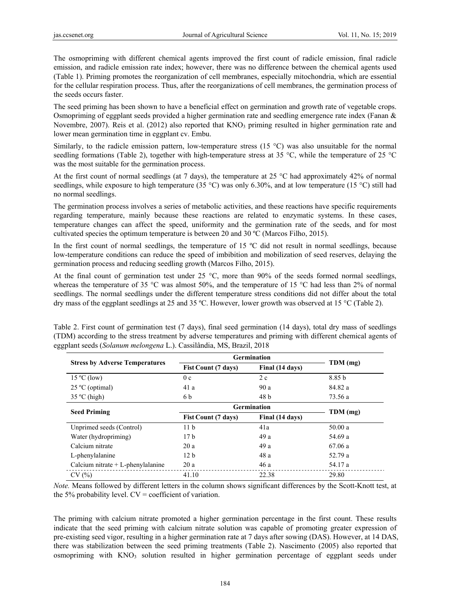The osmopriming with different chemical agents improved the first count of radicle emission, final radicle emission, and radicle emission rate index; however, there was no difference between the chemical agents used (Table 1). Priming promotes the reorganization of cell membranes, especially mitochondria, which are essential for the cellular respiration process. Thus, after the reorganizations of cell membranes, the germination process of the seeds occurs faster.

The seed priming has been shown to have a beneficial effect on germination and growth rate of vegetable crops. Osmopriming of eggplant seeds provided a higher germination rate and seedling emergence rate index (Fanan & Novembre, 2007). Reis et al. (2012) also reported that  $KNO<sub>3</sub>$  priming resulted in higher germination rate and lower mean germination time in eggplant cv. Embu.

Similarly, to the radicle emission pattern, low-temperature stress (15 °C) was also unsuitable for the normal seedling formations (Table 2), together with high-temperature stress at 35 °C, while the temperature of 25 °C was the most suitable for the germination process.

At the first count of normal seedlings (at 7 days), the temperature at 25 °C had approximately 42% of normal seedlings, while exposure to high temperature (35 °C) was only 6.30%, and at low temperature (15 °C) still had no normal seedlings.

The germination process involves a series of metabolic activities, and these reactions have specific requirements regarding temperature, mainly because these reactions are related to enzymatic systems. In these cases, temperature changes can affect the speed, uniformity and the germination rate of the seeds, and for most cultivated species the optimum temperature is between 20 and 30 ºC (Marcos Filho, 2015).

In the first count of normal seedlings, the temperature of 15 °C did not result in normal seedlings, because low-temperature conditions can reduce the speed of imbibition and mobilization of seed reserves, delaying the germination process and reducing seedling growth (Marcos Filho, 2015).

At the final count of germination test under 25 °C, more than 90% of the seeds formed normal seedlings, whereas the temperature of 35 °C was almost 50%, and the temperature of 15 °C had less than 2% of normal seedlings. The normal seedlings under the different temperature stress conditions did not differ about the total dry mass of the eggplant seedlings at 25 and 35 ºC. However, lower growth was observed at 15 °C (Table 2).

|                                       | <b>Germination</b>                            |                 |          |  |
|---------------------------------------|-----------------------------------------------|-----------------|----------|--|
| <b>Stress by Adverse Temperatures</b> | Final (14 days)<br><b>Fist Count (7 days)</b> |                 | TDM (mg) |  |
| $15^{\circ}$ C (low)                  | 0c                                            | 2c              | 8.85 b   |  |
| $25^{\circ}$ C (optimal)              | 41 a                                          | 90 a            | 84.82 a  |  |
| $35^{\circ}$ C (high)                 | 6 b                                           | 48 b            | 73.56 a  |  |
|                                       | <b>Germination</b>                            |                 |          |  |
| <b>Seed Priming</b>                   | <b>Fist Count (7 days)</b>                    | Final (14 days) | TDM (mg) |  |
| Unprimed seeds (Control)              | 11 <sub>b</sub>                               | 41a             | 50.00a   |  |
| Water (hydropriming)                  | 17 <sub>b</sub>                               | 49 a            | 54.69 a  |  |
| Calcium nitrate                       | 20a                                           | 49 a            | 67.06a   |  |
| L-phenylalanine                       | 12 <sub>b</sub>                               | 48 a            | 52.79 a  |  |
| Calcium nitrate $+$ L-phenylalanine   | 20a                                           | 46 a            | 54.17 a  |  |
| CV(%)                                 | 41.10                                         | 22.38           | 29.80    |  |

Table 2. First count of germination test (7 days), final seed germination (14 days), total dry mass of seedlings (TDM) according to the stress treatment by adverse temperatures and priming with different chemical agents of eggplant seeds (*Solanum melongena* L.). Cassilândia, MS, Brazil, 2018

*Note.* Means followed by different letters in the column shows significant differences by the Scott-Knott test, at the 5% probability level.  $CV = coefficient$  of variation.

The priming with calcium nitrate promoted a higher germination percentage in the first count. These results indicate that the seed priming with calcium nitrate solution was capable of promoting greater expression of pre-existing seed vigor, resulting in a higher germination rate at 7 days after sowing (DAS). However, at 14 DAS, there was stabilization between the seed priming treatments (Table 2). Nascimento (2005) also reported that osmopriming with  $KNO_3$  solution resulted in higher germination percentage of eggplant seeds under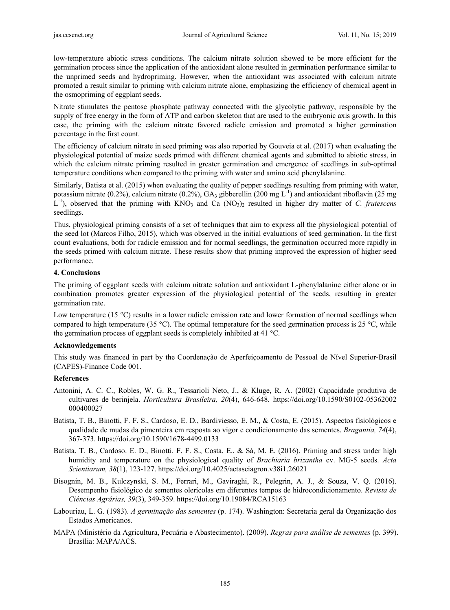low-temperature abiotic stress conditions. The calcium nitrate solution showed to be more efficient for the germination process since the application of the antioxidant alone resulted in germination performance similar to the unprimed seeds and hydropriming. However, when the antioxidant was associated with calcium nitrate promoted a result similar to priming with calcium nitrate alone, emphasizing the efficiency of chemical agent in the osmopriming of eggplant seeds.

Nitrate stimulates the pentose phosphate pathway connected with the glycolytic pathway, responsible by the supply of free energy in the form of ATP and carbon skeleton that are used to the embryonic axis growth. In this case, the priming with the calcium nitrate favored radicle emission and promoted a higher germination percentage in the first count.

The efficiency of calcium nitrate in seed priming was also reported by Gouveia et al. (2017) when evaluating the physiological potential of maize seeds primed with different chemical agents and submitted to abiotic stress, in which the calcium nitrate priming resulted in greater germination and emergence of seedlings in sub-optimal temperature conditions when compared to the priming with water and amino acid phenylalanine.

Similarly, Batista et al. (2015) when evaluating the quality of pepper seedlings resulting from priming with water, potassium nitrate (0.2%), calcium nitrate (0.2%),  $GA_3$  gibberellin (200 mg L<sup>-1</sup>) and antioxidant riboflavin (25 mg L<sup>-1</sup>), observed that the priming with KNO<sub>3</sub> and Ca (NO<sub>3</sub>)<sub>2</sub> resulted in higher dry matter of *C. frutescens* seedlings.

Thus, physiological priming consists of a set of techniques that aim to express all the physiological potential of the seed lot (Marcos Filho, 2015), which was observed in the initial evaluations of seed germination. In the first count evaluations, both for radicle emission and for normal seedlings, the germination occurred more rapidly in the seeds primed with calcium nitrate. These results show that priming improved the expression of higher seed performance.

### **4. Conclusions**

The priming of eggplant seeds with calcium nitrate solution and antioxidant L-phenylalanine either alone or in combination promotes greater expression of the physiological potential of the seeds, resulting in greater germination rate.

Low temperature (15 °C) results in a lower radicle emission rate and lower formation of normal seedlings when compared to high temperature (35 °C). The optimal temperature for the seed germination process is 25 °C, while the germination process of eggplant seeds is completely inhibited at 41 °C.

# **Acknowledgements**

This study was financed in part by the Coordenação de Aperfeiçoamento de Pessoal de Nível Superior-Brasil (CAPES)-Finance Code 001.

# **References**

- Antonini, A. C. C., Robles, W. G. R., Tessarioli Neto, J., & Kluge, R. A. (2002) Capacidade produtiva de cultivares de berinjela. *Horticultura Brasileira, 20*(4), 646-648. https://doi.org/10.1590/S0102-05362002 000400027
- Batista, T. B., Binotti, F. F. S., Cardoso, E. D., Bardiviesso, E. M., & Costa, E. (2015). Aspectos fisiológicos e qualidade de mudas da pimenteira em resposta ao vigor e condicionamento das sementes. *Bragantia, 74*(4), 367-373. https://doi.org/10.1590/1678-4499.0133
- Batista. T. B., Cardoso. E. D., Binotti. F. F. S., Costa. E., & Sá, M. E. (2016). Priming and stress under high humidity and temperature on the physiological quality of *Brachiaria brizantha* cv. MG-5 seeds. *Acta Scientiarum, 38*(1), 123-127. https://doi.org/10.4025/actasciagron.v38i1.26021
- Bisognin, M. B., Kulczynski, S. M., Ferrari, M., Gaviraghi, R., Pelegrin, A. J., & Souza, V. Q. (2016). Desempenho fisiológico de sementes olerícolas em diferentes tempos de hidrocondicionamento. *Revista de Ciências Agrárias, 39*(3), 349-359. https://doi.org/10.19084/RCA15163
- Labouriau, L. G. (1983). *A germinação das sementes* (p. 174). Washington: Secretaria geral da Organização dos Estados Americanos.
- MAPA (Ministério da Agricultura, Pecuária e Abastecimento). (2009). *Regras para análise de sementes* (p. 399). Brasília: MAPA/ACS.